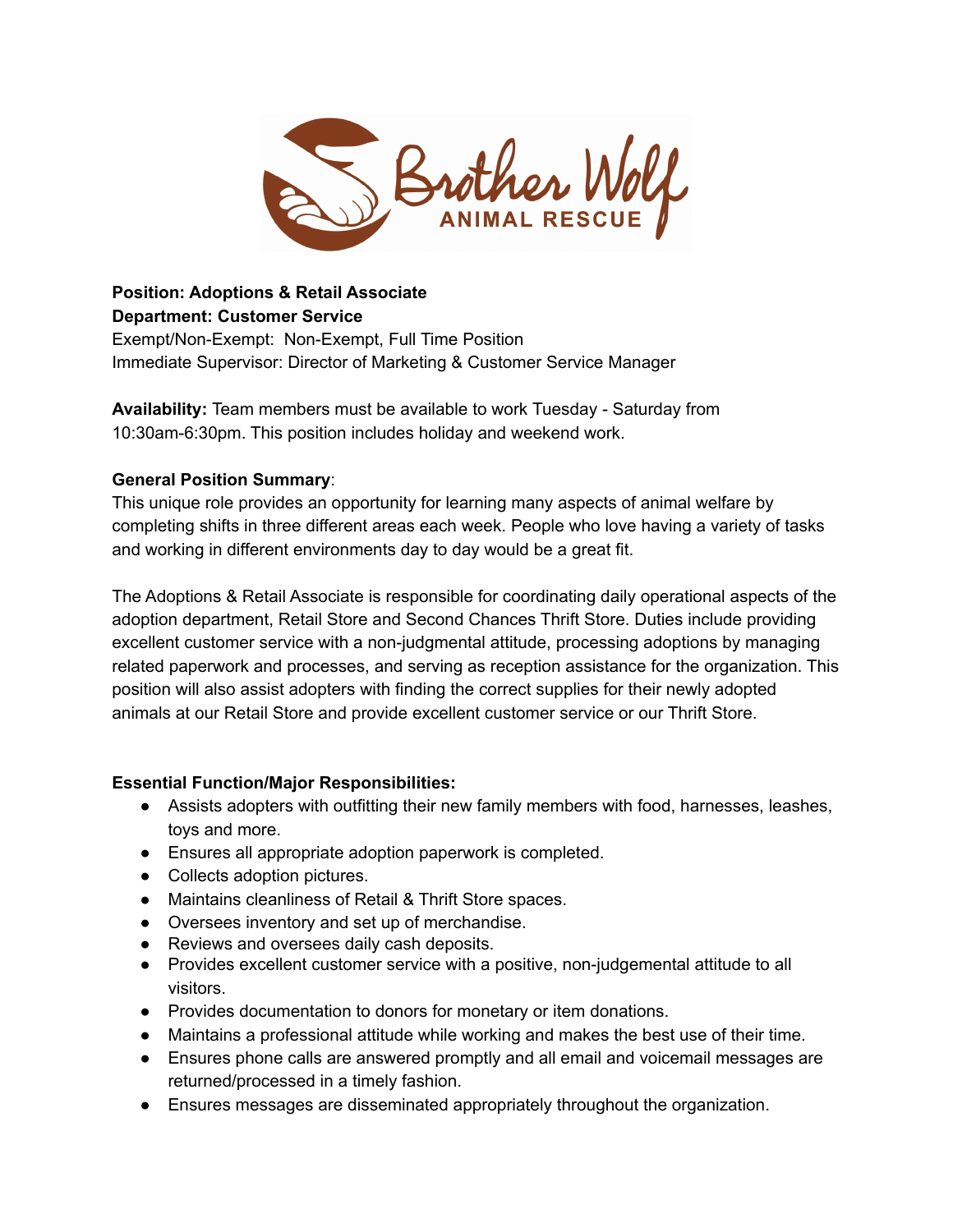

#### **Position: Adoptions & Retail Associate Department: Customer Service**

Exempt/Non-Exempt: Non-Exempt, Full Time Position Immediate Supervisor: Director of Marketing & Customer Service Manager

**Availability:** Team members must be available to work Tuesday - Saturday from 10:30am-6:30pm. This position includes holiday and weekend work.

#### **General Position Summary**:

This unique role provides an opportunity for learning many aspects of animal welfare by completing shifts in three different areas each week. People who love having a variety of tasks and working in different environments day to day would be a great fit.

The Adoptions & Retail Associate is responsible for coordinating daily operational aspects of the adoption department, Retail Store and Second Chances Thrift Store. Duties include providing excellent customer service with a non-judgmental attitude, processing adoptions by managing related paperwork and processes, and serving as reception assistance for the organization. This position will also assist adopters with finding the correct supplies for their newly adopted animals at our Retail Store and provide excellent customer service or our Thrift Store.

#### **Essential Function/Major Responsibilities:**

- Assists adopters with outfitting their new family members with food, harnesses, leashes, toys and more.
- Ensures all appropriate adoption paperwork is completed.
- Collects adoption pictures.
- Maintains cleanliness of Retail & Thrift Store spaces.
- Oversees inventory and set up of merchandise.
- Reviews and oversees daily cash deposits.
- Provides excellent customer service with a positive, non-judgemental attitude to all visitors.
- Provides documentation to donors for monetary or item donations.
- Maintains a professional attitude while working and makes the best use of their time.
- Ensures phone calls are answered promptly and all email and voicemail messages are returned/processed in a timely fashion.
- Ensures messages are disseminated appropriately throughout the organization.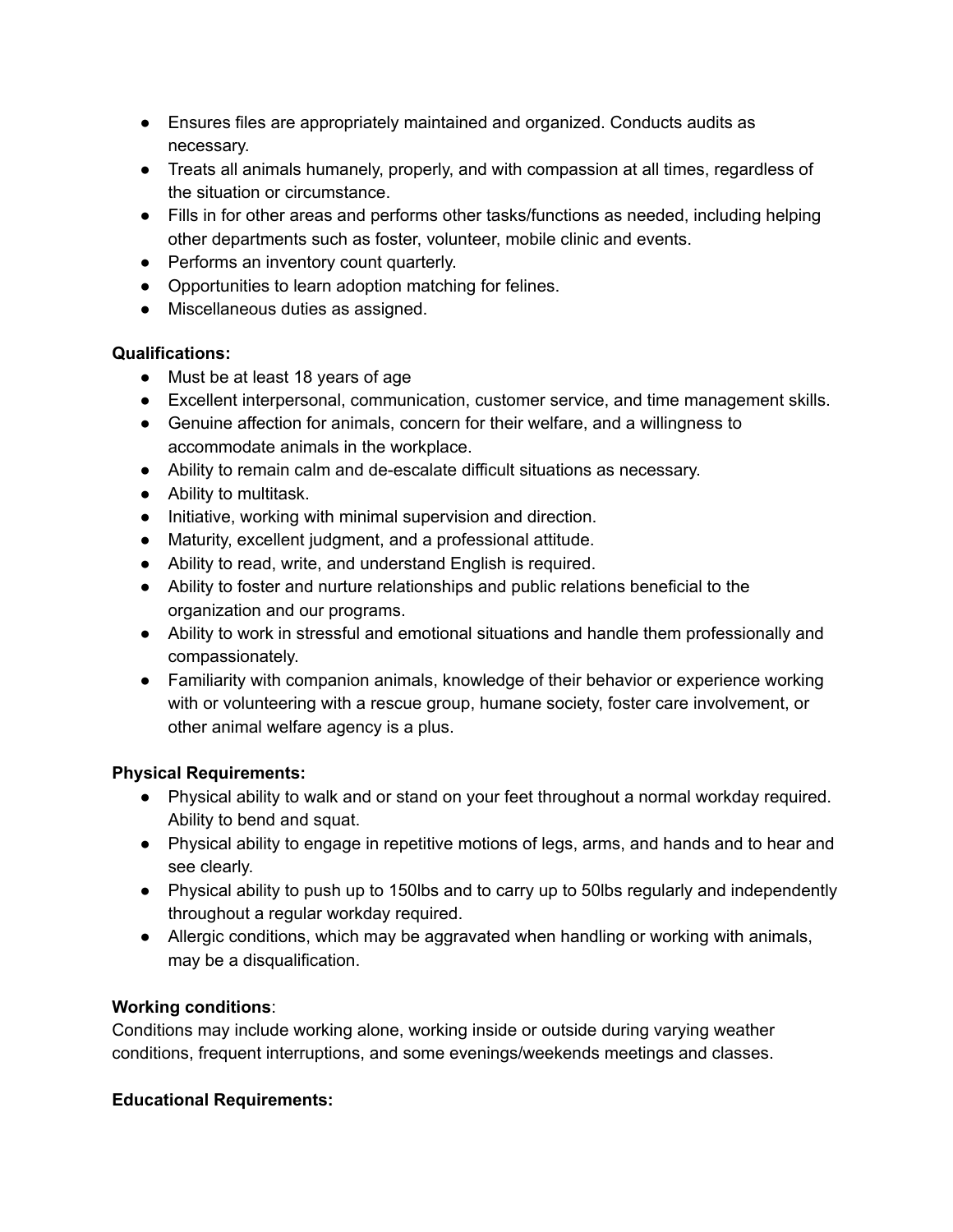- Ensures files are appropriately maintained and organized. Conducts audits as necessary.
- Treats all animals humanely, properly, and with compassion at all times, regardless of the situation or circumstance.
- Fills in for other areas and performs other tasks/functions as needed, including helping other departments such as foster, volunteer, mobile clinic and events.
- Performs an inventory count quarterly.
- Opportunities to learn adoption matching for felines.
- Miscellaneous duties as assigned.

# **Qualifications:**

- Must be at least 18 years of age
- Excellent interpersonal, communication, customer service, and time management skills.
- Genuine affection for animals, concern for their welfare, and a willingness to accommodate animals in the workplace.
- Ability to remain calm and de-escalate difficult situations as necessary.
- Ability to multitask.
- Initiative, working with minimal supervision and direction.
- Maturity, excellent judgment, and a professional attitude.
- Ability to read, write, and understand English is required.
- Ability to foster and nurture relationships and public relations beneficial to the organization and our programs.
- Ability to work in stressful and emotional situations and handle them professionally and compassionately.
- Familiarity with companion animals, knowledge of their behavior or experience working with or volunteering with a rescue group, humane society, foster care involvement, or other animal welfare agency is a plus.

# **Physical Requirements:**

- Physical ability to walk and or stand on your feet throughout a normal workday required. Ability to bend and squat.
- Physical ability to engage in repetitive motions of legs, arms, and hands and to hear and see clearly.
- Physical ability to push up to 150lbs and to carry up to 50lbs regularly and independently throughout a regular workday required.
- Allergic conditions, which may be aggravated when handling or working with animals, may be a disqualification.

# **Working conditions**:

Conditions may include working alone, working inside or outside during varying weather conditions, frequent interruptions, and some evenings/weekends meetings and classes.

# **Educational Requirements:**